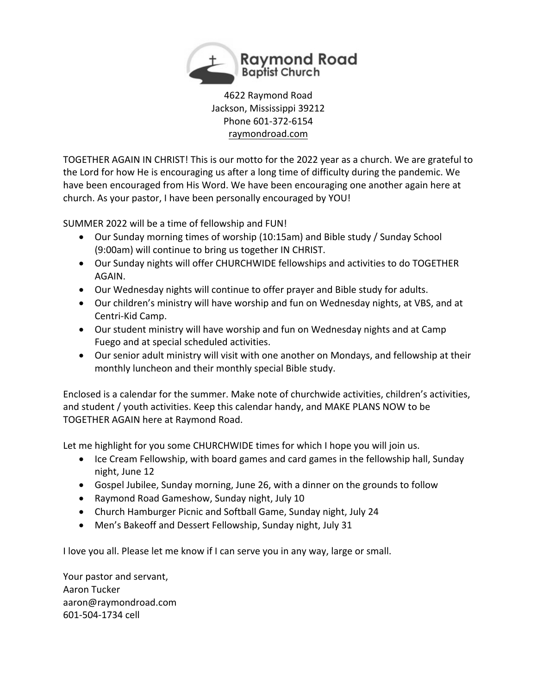

4622 Raymond Road Jackson, Mississippi 39212 Phone 601-372-6154 raymondroad.com

TOGETHER AGAIN IN CHRIST! This is our motto for the 2022 year as a church. We are grateful to the Lord for how He is encouraging us after a long time of difficulty during the pandemic. We have been encouraged from His Word. We have been encouraging one another again here at church. As your pastor, I have been personally encouraged by YOU!

SUMMER 2022 will be a time of fellowship and FUN!

- Our Sunday morning times of worship (10:15am) and Bible study / Sunday School (9:00am) will continue to bring us together IN CHRIST.
- Our Sunday nights will offer CHURCHWIDE fellowships and activities to do TOGETHER AGAIN.
- Our Wednesday nights will continue to offer prayer and Bible study for adults.
- Our children's ministry will have worship and fun on Wednesday nights, at VBS, and at Centri-Kid Camp.
- Our student ministry will have worship and fun on Wednesday nights and at Camp Fuego and at special scheduled activities.
- Our senior adult ministry will visit with one another on Mondays, and fellowship at their monthly luncheon and their monthly special Bible study.

Enclosed is a calendar for the summer. Make note of churchwide activities, children's activities, and student / youth activities. Keep this calendar handy, and MAKE PLANS NOW to be TOGETHER AGAIN here at Raymond Road.

Let me highlight for you some CHURCHWIDE times for which I hope you will join us.

- Ice Cream Fellowship, with board games and card games in the fellowship hall, Sunday night, June 12
- Gospel Jubilee, Sunday morning, June 26, with a dinner on the grounds to follow
- Raymond Road Gameshow, Sunday night, July 10
- Church Hamburger Picnic and Softball Game, Sunday night, July 24
- Men's Bakeoff and Dessert Fellowship, Sunday night, July 31

I love you all. Please let me know if I can serve you in any way, large or small.

Your pastor and servant, Aaron Tucker aaron@raymondroad.com 601-504-1734 cell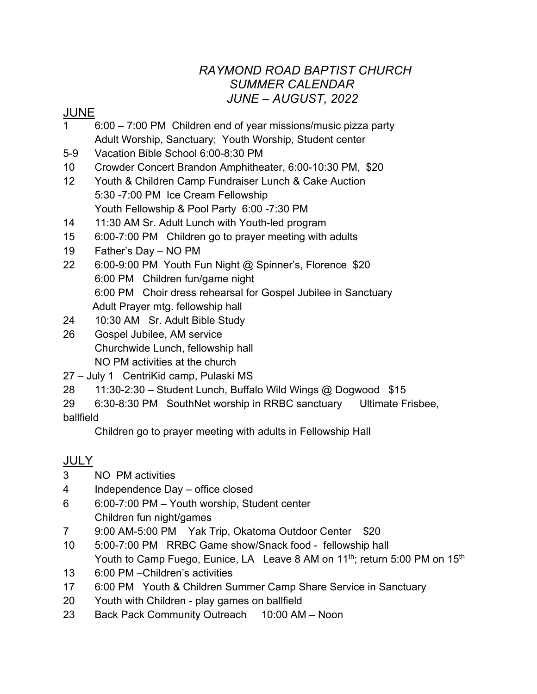### *RAYMOND ROAD BAPTIST CHURCH SUMMER CALENDAR JUNE – AUGUST, 2022*

#### JUNE

- 1 6:00 7:00 PM Children end of year missions/music pizza party Adult Worship, Sanctuary; Youth Worship, Student center
- 5-9 Vacation Bible School 6:00-8:30 PM
- 10 Crowder Concert Brandon Amphitheater, 6:00-10:30 PM, \$20
- 12 Youth & Children Camp Fundraiser Lunch & Cake Auction 5:30 -7:00 PM Ice Cream Fellowship Youth Fellowship & Pool Party 6:00 -7:30 PM
- 14 11:30 AM Sr. Adult Lunch with Youth-led program
- 15 6:00-7:00 PM Children go to prayer meeting with adults
- 19 Father's Day NO PM
- 22 6:00-9:00 PM Youth Fun Night @ Spinner's, Florence \$20 6:00 PM Children fun/game night 6:00 PM Choir dress rehearsal for Gospel Jubilee in Sanctuary Adult Prayer mtg. fellowship hall
- 24 10:30 AM Sr. Adult Bible Study
- 26 Gospel Jubilee, AM service Churchwide Lunch, fellowship hall NO PM activities at the church
- 27 July 1 CentriKid camp, Pulaski MS
- 28 11:30-2:30 Student Lunch, Buffalo Wild Wings @ Dogwood \$15
- 29 6:30-8:30 PM SouthNet worship in RRBC sanctuary Ultimate Frisbee, ballfield

Children go to prayer meeting with adults in Fellowship Hall

# JULY

- 3 NO PM activities
- 4 Independence Day office closed
- 6 6:00-7:00 PM Youth worship, Student center Children fun night/games
- 7 9:00 AM-5:00 PM Yak Trip, Okatoma Outdoor Center \$20
- 10 5:00-7:00 PM RRBC Game show/Snack food fellowship hall Youth to Camp Fuego, Eunice, LA Leave 8 AM on 11<sup>th</sup>; return 5:00 PM on 15<sup>th</sup>
- 13 6:00 PM –Children's activities
- 17 6:00 PM Youth & Children Summer Camp Share Service in Sanctuary
- 20 Youth with Children play games on ballfield
- 23 Back Pack Community Outreach 10:00 AM Noon